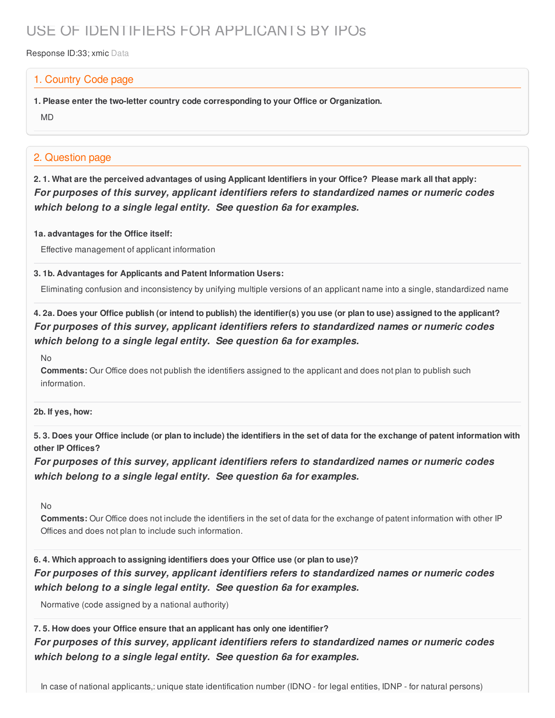# USE OF IDENTIFIERS FOR APPLICANTS BY IPOs

Response ID:33; xmic Data

### 1. Country Code page

**1. Please enter the two-letter country code corresponding to your Office or Organization.**

MD

## 2. Question page

2.1. What are the perceived advantages of using Applicant Identifiers in your Office? Please mark all that apply: *For purposes of this survey, applicant identifiers refers to standardized names or numeric codes which belong to a single legal entity. See question 6a for examples.*

#### **1a. advantages for the Office itself:**

Effective management of applicant information

#### **3. 1b. Advantages for Applicants and Patent Information Users:**

Eliminating confusion and inconsistency by unifying multiple versions of an applicant name into a single, standardized name

4. 2a. Does your Office publish (or intend to publish) the identifier(s) you use (or plan to use) assigned to the applicant? *For purposes of this survey, applicant identifiers refers to standardized names or numeric codes which belong to a single legal entity. See question 6a for examples.*

No

**Comments:** Our Office does not publish the identifiers assigned to the applicant and does not plan to publish such information.

#### **2b. If yes, how:**

5.3. Does your Office include (or plan to include) the identifiers in the set of data for the exchange of patent information with **other IP Offices?**

*For purposes of this survey, applicant identifiers refers to standardized names or numeric codes which belong to a single legal entity. See question 6a for examples.*

No

**Comments:** Our Office does not include the identifiers in the set of data for the exchange of patent information with other IP Offices and does not plan to include such information.

**6. 4. Which approach to assigning identifiers does your Office use (or plan to use)?** *For purposes of this survey, applicant identifiers refers to standardized names or numeric codes which belong to a single legal entity. See question 6a for examples.*

Normative (code assigned by a national authority)

**7. 5. How does your Office ensure that an applicant has only one identifier?** *For purposes of this survey, applicant identifiers refers to standardized names or numeric codes which belong to a single legal entity. See question 6a for examples.*

In case of national applicants,: unique state identification number (IDNO - for legal entities, IDNP - for natural persons)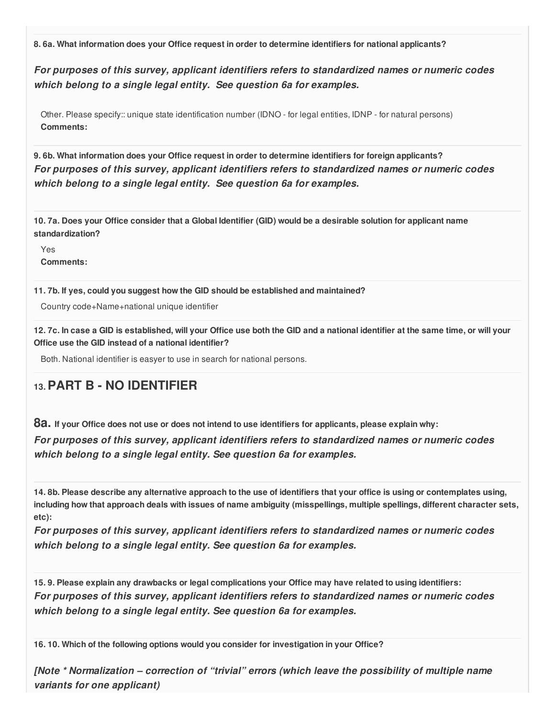**8. 6a. What information does your Office request in order to determine identifiers for national applicants?**

*For purposes of this survey, applicant identifiers refers to standardized names or numeric codes which belong to a single legal entity. See question 6a for examples.*

Other. Please specify:: unique state identification number (IDNO - for legal entities, IDNP - for natural persons) **Comments:**

**9. 6b. What information does your Office request in order to determine identifiers for foreign applicants?** *For purposes of this survey, applicant identifiers refers to standardized names or numeric codes which belong to a single legal entity. See question 6a for examples.*

10.7a. Does your Office consider that a Global Identifier (GID) would be a desirable solution for applicant name **standardization?**

Yes **Comments:**

**11. 7b. If yes, could you suggest how the GID should be established and maintained?**

Country code+Name+national unique identifier

12.7c. In case a GID is established, will your Office use both the GID and a national identifier at the same time, or will your **Office use the GID instead of a national identifier?**

Both. National identifier is easyer to use in search for national persons.

# **13.PART B - NO IDENTIFIER**

82. If your Office does not use or does not intend to use identifiers for applicants, please explain why: *For purposes of this survey, applicant identifiers refers to standardized names or numeric codes which belong to a single legal entity. See question 6a for examples.*

14.8b. Please describe any alternative approach to the use of identifiers that your office is using or contemplates using, including how that approach deals with issues of name ambiguity (misspellings, multiple spellings, different character sets, **etc):**

*For purposes of this survey, applicant identifiers refers to standardized names or numeric codes which belong to a single legal entity. See question 6a for examples.*

15.9. Please explain any drawbacks or legal complications your Office may have related to using identifiers: *For purposes of this survey, applicant identifiers refers to standardized names or numeric codes which belong to a single legal entity. See question 6a for examples.*

**16. 10. Which of the following options would you consider for investigation in your Office?**

*[Note \* Normalization – correction of "trivial" errors (which leave the possibility of multiple name variants for one applicant)*